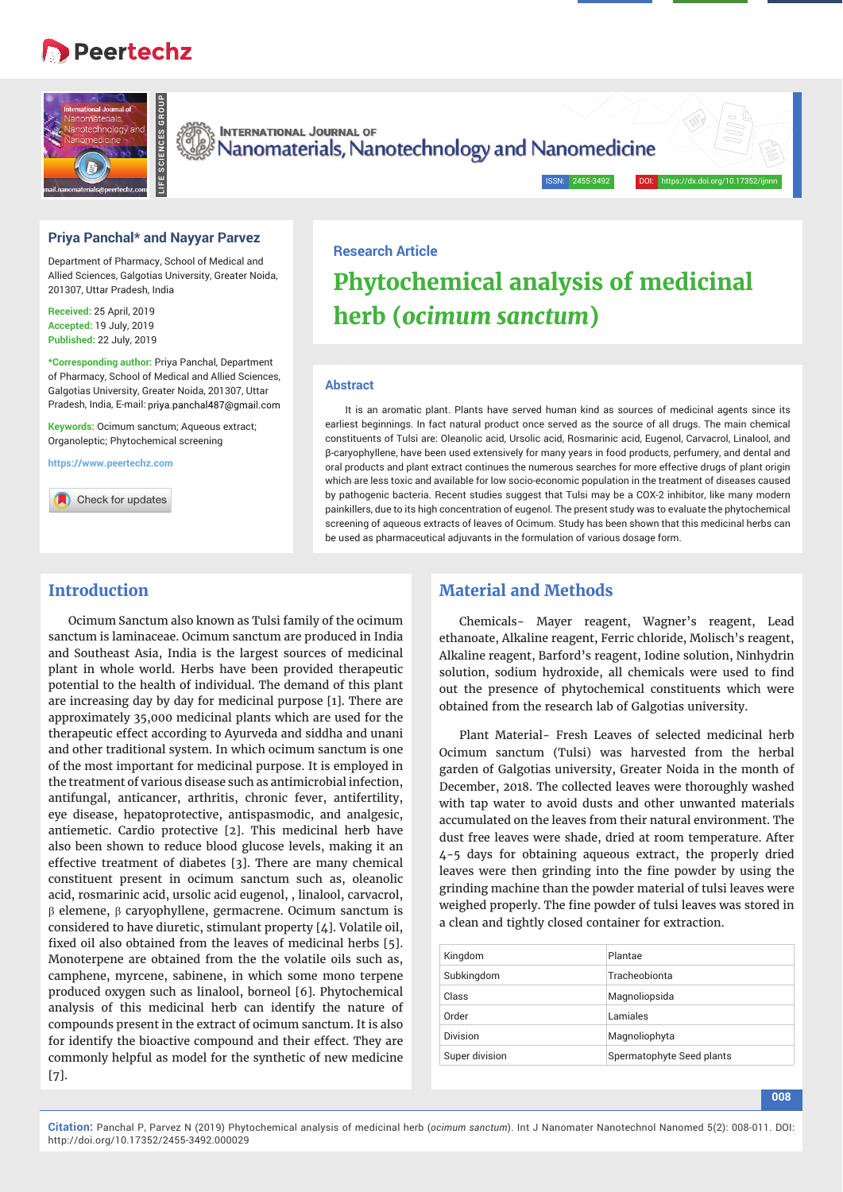# **B** Peertechz



**INTERNATIONAL JOURNAL OF** Nanomaterials, Nanotechnology and Nanomedicine

## **Priya Panchal\* and Nayyar Parvez**

Department of Pharmacy, School of Medical and Allied Sciences, Galgotias University, Greater Noida, 201307, Uttar Pradesh, India

**Received:** 25 April, 2019 **Accepted:** 19 July, 2019 **Published:** 22 July, 2019

**\*Corresponding author:** Priya Panchal, Department of Pharmacy, School of Medical and Allied Sciences, Galgotias University, Greater Noida, 201307, Uttar Pradesh, India, E-mail: priya.panchal487@gmail.com

**Keywords:** Ocimum sanctum; Aqueous extract; Organoleptic; Phytochemical screening

**https://www.peertechz.com**

Check for updates

## **Research Article**

# **Phytochemical analysis of medicinal herb (***ocimum sanctum***)**

ISSN: 2455-3492

#### **Abstract**

It is an aromatic plant. Plants have served human kind as sources of medicinal agents since its earliest beginnings. In fact natural product once served as the source of all drugs. The main chemical constituents of Tulsi are: Oleanolic acid, Ursolic acid, Rosmarinic acid, Eugenol, Carvacrol, Linalool, and β-caryophyllene, have been used extensively for many years in food products, perfumery, and dental and oral products and plant extract continues the numerous searches for more effective drugs of plant origin which are less toxic and available for low socio-economic population in the treatment of diseases caused by pathogenic bacteria. Recent studies suggest that Tulsi may be a COX-2 inhibitor, like many modern painkillers, due to its high concentration of eugenol. The present study was to evaluate the phytochemical screening of aqueous extracts of leaves of Ocimum. Study has been shown that this medicinal herbs can be used as pharmaceutical adjuvants in the formulation of various dosage form.

# **Introduction**

Ocimum Sanctum also known as Tulsi family of the ocimum sanctum is laminaceae. Ocimum sanctum are produced in India and Southeast Asia, India is the largest sources of medicinal plant in whole world. Herbs have been provided therapeutic potential to the health of individual. The demand of this plant are increasing day by day for medicinal purpose [1]. There are approximately 35,000 medicinal plants which are used for the therapeutic effect according to Ayurveda and siddha and unani and other traditional system. In which ocimum sanctum is one of the most important for medicinal purpose. It is employed in the treatment of various disease such as antimicrobial infection, antifungal, anticancer, arthritis, chronic fever, antifertility, eye disease, hepatoprotective, antispasmodic, and analgesic, antiemetic. Cardio protective [2]. This medicinal herb have also been shown to reduce blood glucose levels, making it an effective treatment of diabetes [3]. There are many chemical constituent present in ocimum sanctum such as, oleanolic acid, rosmarinic acid, ursolic acid eugenol, , linalool, carvacrol,  $\beta$  elemene,  $\beta$  caryophyllene, germacrene. Ocimum sanctum is considered to have diuretic, stimulant property [4]. Volatile oil, fixed oil also obtained from the leaves of medicinal herbs [5]. Monoterpene are obtained from the the volatile oils such as, camphene, myrcene, sabinene, in which some mono terpene produced oxygen such as linalool, borneol [6]. Phytochemical analysis of this medicinal herb can identify the nature of compounds present in the extract of ocimum sanctum. It is also for identify the bioactive compound and their effect. They are commonly helpful as model for the synthetic of new medicine [7].

## **Material and Methods**

Chemicals- Mayer reagent, Wagner's reagent, Lead ethanoate, Alkaline reagent, Ferric chloride, Molisch's reagent, Alkaline reagent, Barford's reagent, Iodine solution, Ninhydrin solution, sodium hydroxide, all chemicals were used to find out the presence of phytochemical constituents which were obtained from the research lab of Galgotias university.

Plant Material- Fresh Leaves of selected medicinal herb Ocimum sanctum (Tulsi) was harvested from the herbal garden of Galgotias university, Greater Noida in the month of December, 2018. The collected leaves were thoroughly washed with tap water to avoid dusts and other unwanted materials accumulated on the leaves from their natural environment. The dust free leaves were shade, dried at room temperature. After 4-5 days for obtaining aqueous extract, the properly dried leaves were then grinding into the fine powder by using the grinding machine than the powder material of tulsi leaves were weighed properly. The fine powder of tulsi leaves was stored in a clean and tightly closed container for extraction.

| Kingdom        | Plantae                   |
|----------------|---------------------------|
| Subkingdom     | Tracheobionta             |
| Class          | Magnoliopsida             |
| Order          | Lamiales                  |
| Division       | Magnoliophyta             |
| Super division | Spermatophyte Seed plants |

**Citation:** Panchal P, Parvez N (2019) Phytochemical analysis of medicinal herb (*ocimum sanctum*). Int J Nanomater Nanotechnol Nanomed 5(2): 008-011. DOI: http://doi.org/10.17352/2455-3492.000029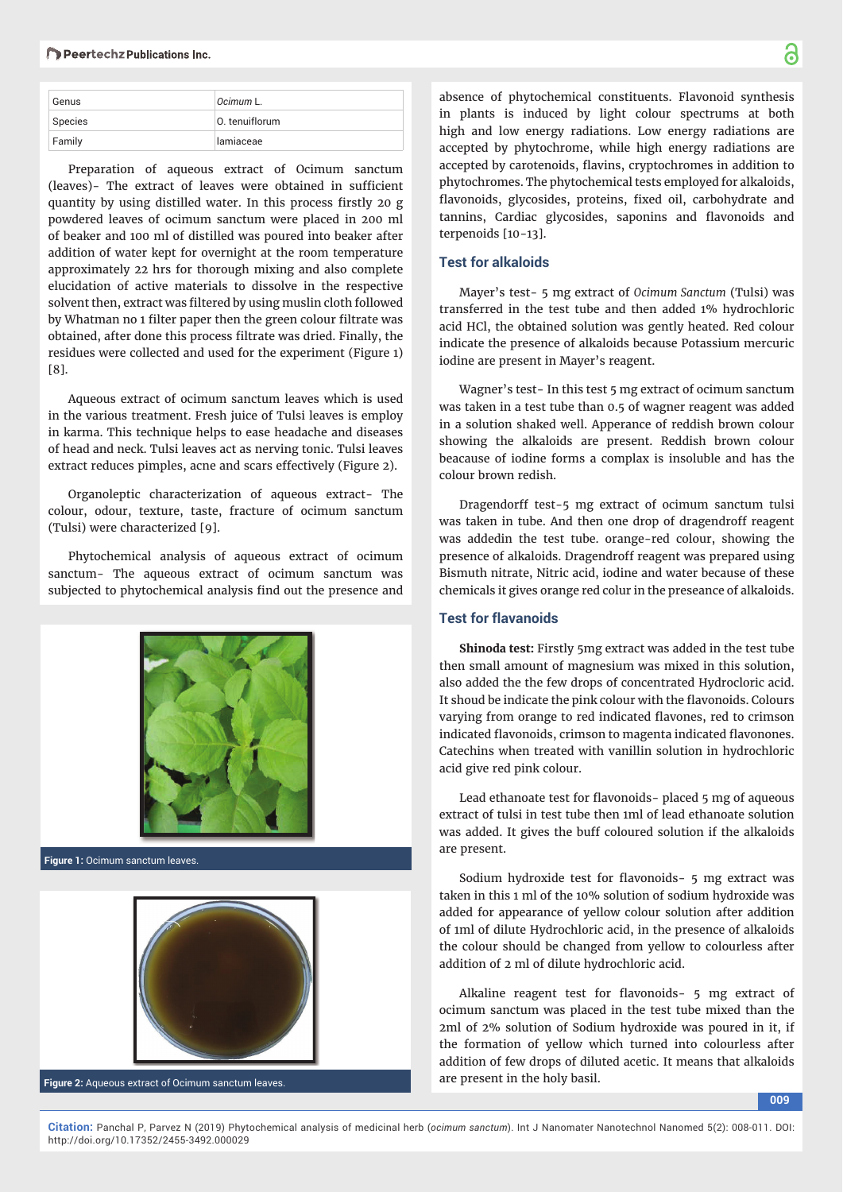#### Peertechz Publications Inc.

| Genus   | Ocimum L.      |
|---------|----------------|
| Species | 0. tenuiflorum |
| Family  | lamiaceae      |

Preparation of aqueous extract of Ocimum sanctum (leaves)- The extract of leaves were obtained in sufficient quantity by using distilled water. In this process firstly 20 g powdered leaves of ocimum sanctum were placed in 200 ml of beaker and 100 ml of distilled was poured into beaker after addition of water kept for overnight at the room temperature approximately 22 hrs for thorough mixing and also complete elucidation of active materials to dissolve in the respective solvent then, extract was filtered by using muslin cloth followed by Whatman no 1 filter paper then the green colour filtrate was obtained, after done this process filtrate was dried. Finally, the residues were collected and used for the experiment (Figure 1) [8].

Aqueous extract of ocimum sanctum leaves which is used in the various treatment. Fresh juice of Tulsi leaves is employ in karma. This technique helps to ease headache and diseases of head and neck. Tulsi leaves act as nerving tonic. Tulsi leaves extract reduces pimples, acne and scars effectively (Figure 2).

Organoleptic characterization of aqueous extract- The colour, odour, texture, taste, fracture of ocimum sanctum (Tulsi) were characterized [9].

Phytochemical analysis of aqueous extract of ocimum sanctum- The aqueous extract of ocimum sanctum was subjected to phytochemical analysis find out the presence and



**Figure 1:** Ocimum sanctum leaves.



**Figure 2:** Aqueous extract of Ocimum sanctum leaves.

absence of phytochemical constituents. Flavonoid synthesis in plants is induced by light colour spectrums at both high and low energy radiations. Low energy radiations are accepted by phytochrome, while high energy radiations are accepted by carotenoids, flavins, cryptochromes in addition to phytochromes. The phytochemical tests employed for alkaloids, flavonoids, glycosides, proteins, fixed oil, carbohydrate and tannins, Cardiac glycosides, saponins and flavonoids and terpenoids [10-13].

#### **Test for alkaloids**

Mayer's test- 5 mg extract of *Ocimum Sanctum* (Tulsi) was transferred in the test tube and then added 1% hydrochloric acid HCl, the obtained solution was gently heated. Red colour indicate the presence of alkaloids because Potassium mercuric iodine are present in Mayer's reagent.

Wagner's test- In this test 5 mg extract of ocimum sanctum was taken in a test tube than 0.5 of wagner reagent was added in a solution shaked well. Apperance of reddish brown colour showing the alkaloids are present. Reddish brown colour beacause of iodine forms a complax is insoluble and has the colour brown redish.

Dragendorff test-5 mg extract of ocimum sanctum tulsi was taken in tube. And then one drop of dragendroff reagent was addedin the test tube. orange-red colour, showing the presence of alkaloids. Dragendroff reagent was prepared using Bismuth nitrate, Nitric acid, iodine and water because of these chemicals it gives orange red colur in the preseance of alkaloids.

#### **Test for flavanoids**

**Shinoda test:** Firstly 5mg extract was added in the test tube then small amount of magnesium was mixed in this solution, also added the the few drops of concentrated Hydrocloric acid. It shoud be indicate the pink colour with the flavonoids. Colours varying from orange to red indicated flavones, red to crimson indicated flavonoids, crimson to magenta indicated flavonones. Catechins when treated with vanillin solution in hydrochloric acid give red pink colour.

Lead ethanoate test for flavonoids- placed 5 mg of aqueous extract of tulsi in test tube then 1ml of lead ethanoate solution was added. It gives the buff coloured solution if the alkaloids are present.

Sodium hydroxide test for flavonoids- 5 mg extract was taken in this 1 ml of the 10% solution of sodium hydroxide was added for appearance of yellow colour solution after addition of 1ml of dilute Hydrochloric acid, in the presence of alkaloids the colour should be changed from yellow to colourless after addition of 2 ml of dilute hydrochloric acid.

Alkaline reagent test for flavonoids- 5 mg extract of ocimum sanctum was placed in the test tube mixed than the 2ml of 2% solution of Sodium hydroxide was poured in it, if the formation of yellow which turned into colourless after addition of few drops of diluted acetic. It means that alkaloids are present in the holy basil.

**009**

፟፟፟፟

**Citation:** Panchal P, Parvez N (2019) Phytochemical analysis of medicinal herb (*ocimum sanctum*). Int J Nanomater Nanotechnol Nanomed 5(2): 008-011. DOI: http://doi.org/10.17352/2455-3492.000029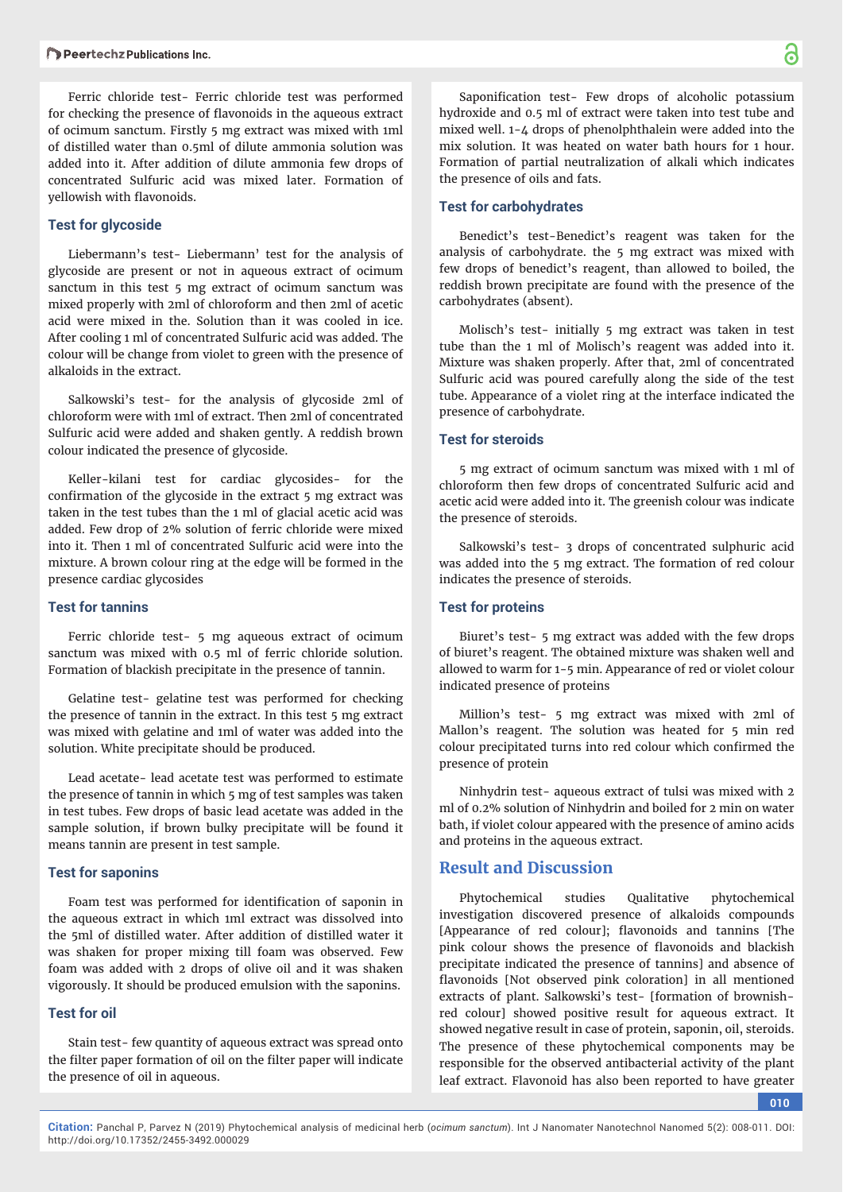Ferric chloride test- Ferric chloride test was performed for checking the presence of flavonoids in the aqueous extract of ocimum sanctum. Firstly 5 mg extract was mixed with 1ml of distilled water than 0.5ml of dilute ammonia solution was added into it. After addition of dilute ammonia few drops of concentrated Sulfuric acid was mixed later. Formation of yellowish with flavonoids.

## **Test for glycoside**

Liebermann's test- Liebermann' test for the analysis of glycoside are present or not in aqueous extract of ocimum sanctum in this test 5 mg extract of ocimum sanctum was mixed properly with 2ml of chloroform and then 2ml of acetic acid were mixed in the. Solution than it was cooled in ice. After cooling 1 ml of concentrated Sulfuric acid was added. The colour will be change from violet to green with the presence of alkaloids in the extract.

Salkowski's test- for the analysis of glycoside 2ml of chloroform were with 1ml of extract. Then 2ml of concentrated Sulfuric acid were added and shaken gently. A reddish brown colour indicated the presence of glycoside.

Keller-kilani test for cardiac glycosides- for the confirmation of the glycoside in the extract 5 mg extract was taken in the test tubes than the 1 ml of glacial acetic acid was added. Few drop of 2% solution of ferric chloride were mixed into it. Then 1 ml of concentrated Sulfuric acid were into the mixture. A brown colour ring at the edge will be formed in the presence cardiac glycosides

#### **Test for tannins**

Ferric chloride test- 5 mg aqueous extract of ocimum sanctum was mixed with 0.5 ml of ferric chloride solution. Formation of blackish precipitate in the presence of tannin.

Gelatine test- gelatine test was performed for checking the presence of tannin in the extract. In this test 5 mg extract was mixed with gelatine and 1ml of water was added into the solution. White precipitate should be produced.

Lead acetate- lead acetate test was performed to estimate the presence of tannin in which 5 mg of test samples was taken in test tubes. Few drops of basic lead acetate was added in the sample solution, if brown bulky precipitate will be found it means tannin are present in test sample.

### **Test for saponins**

Foam test was performed for identification of saponin in the aqueous extract in which 1ml extract was dissolved into the 5ml of distilled water. After addition of distilled water it was shaken for proper mixing till foam was observed. Few foam was added with 2 drops of olive oil and it was shaken vigorously. It should be produced emulsion with the saponins.

## **Test for oil**

Stain test- few quantity of aqueous extract was spread onto the filter paper formation of oil on the filter paper will indicate the presence of oil in aqueous.

Saponification test- Few drops of alcoholic potassium hydroxide and 0.5 ml of extract were taken into test tube and mixed well. 1-4 drops of phenolphthalein were added into the mix solution. It was heated on water bath hours for 1 hour. Formation of partial neutralization of alkali which indicates the presence of oils and fats.

#### **Test for carbohydrates**

Benedict's test-Benedict's reagent was taken for the analysis of carbohydrate. the 5 mg extract was mixed with few drops of benedict's reagent, than allowed to boiled, the reddish brown precipitate are found with the presence of the carbohydrates (absent).

Molisch's test- initially 5 mg extract was taken in test tube than the 1 ml of Molisch's reagent was added into it. Mixture was shaken properly. After that, 2ml of concentrated Sulfuric acid was poured carefully along the side of the test tube. Appearance of a violet ring at the interface indicated the presence of carbohydrate.

#### **Test for steroids**

5 mg extract of ocimum sanctum was mixed with 1 ml of chloroform then few drops of concentrated Sulfuric acid and acetic acid were added into it. The greenish colour was indicate the presence of steroids.

Salkowski's test- 3 drops of concentrated sulphuric acid was added into the 5 mg extract. The formation of red colour indicates the presence of steroids.

#### **Test for proteins**

Biuret's test- 5 mg extract was added with the few drops of biuret's reagent. The obtained mixture was shaken well and allowed to warm for 1-5 min. Appearance of red or violet colour indicated presence of proteins

Million's test- 5 mg extract was mixed with 2ml of Mallon's reagent. The solution was heated for 5 min red colour precipitated turns into red colour which confirmed the presence of protein

Ninhydrin test- aqueous extract of tulsi was mixed with 2 ml of 0.2% solution of Ninhydrin and boiled for 2 min on water bath, if violet colour appeared with the presence of amino acids and proteins in the aqueous extract.

## **Result and Discussion**

Phytochemical studies Qualitative phytochemical investigation discovered presence of alkaloids compounds [Appearance of red colour]; flavonoids and tannins [The pink colour shows the presence of flavonoids and blackish precipitate indicated the presence of tannins] and absence of flavonoids [Not observed pink coloration] in all mentioned extracts of plant. Salkowski's test- [formation of brownishred colour] showed positive result for aqueous extract. It showed negative result in case of protein, saponin, oil, steroids. The presence of these phytochemical components may be responsible for the observed antibacterial activity of the plant leaf extract. Flavonoid has also been reported to have greater

**010**